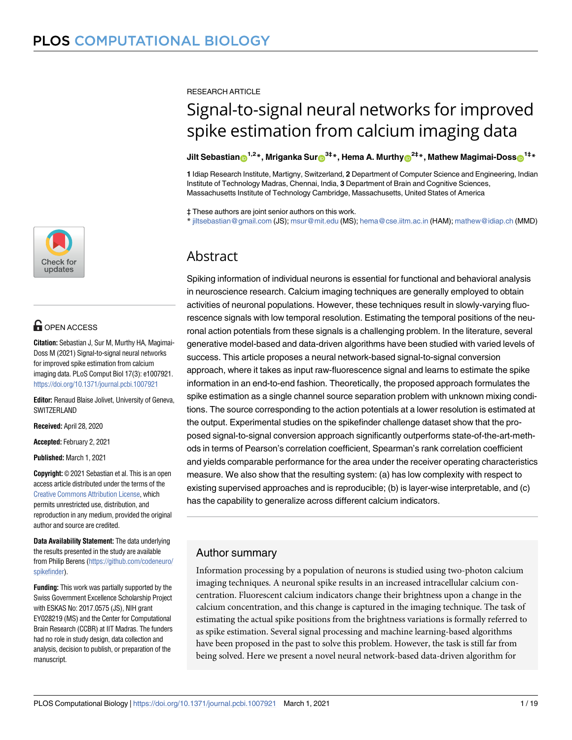

# **OPEN ACCESS**

**Citation:** Sebastian J, Sur M, Murthy HA, Magimai-Doss M (2021) Signal-to-signal neural networks for improved spike estimation from calcium imaging data. PLoS Comput Biol 17(3): e1007921. <https://doi.org/10.1371/journal.pcbi.1007921>

**Editor:** Renaud Blaise Jolivet, University of Geneva, **SWITZERLAND** 

**Received:** April 28, 2020

**Accepted:** February 2, 2021

**Published:** March 1, 2021

**Copyright:** © 2021 Sebastian et al. This is an open access article distributed under the terms of the [Creative Commons Attribution License,](http://creativecommons.org/licenses/by/4.0/) which permits unrestricted use, distribution, and reproduction in any medium, provided the original author and source are credited.

**Data Availability Statement:** The data underlying the results presented in the study are available from Philip Berens [\(https://github.com/codeneuro/](https://github.com/codeneuro/spikefinder) [spikefinder](https://github.com/codeneuro/spikefinder)).

**Funding:** This work was partially supported by the Swiss Government Excellence Scholarship Project with ESKAS No: 2017.0575 (JS), NIH grant EY028219 (MS) and the Center for Computational Brain Research (CCBR) at IIT Madras. The funders had no role in study design, data collection and analysis, decision to publish, or preparation of the manuscript.

RESEARCH ARTICLE

# Signal-to-signal neural networks for improved spike estimation from calcium imaging data

#### **Jilt Sebastian**<sup>1,2</sup><sup>\*</sup>, Mriganka Sur<sup><sup>3‡</sup></del>\*, Hema A. Murthy<sup>2‡</sup><sup>\*</sup>, Mathew Magimai-Doss<sup>1‡</sup><sup>\*</sup></sup>

**1** Idiap Research Institute, Martigny, Switzerland, **2** Department of Computer Science and Engineering, Indian Institute of Technology Madras, Chennai, India, **3** Department of Brain and Cognitive Sciences, Massachusetts Institute of Technology Cambridge, Massachusetts, United States of America

‡ These authors are joint senior authors on this work.

\* jiltsebastian@gmail.com (JS); msur@mit.edu (MS); hema@cse.iitm.ac.in (HAM); mathew@idiap.ch (MMD)

# Abstract

Spiking information of individual neurons is essential for functional and behavioral analysis in neuroscience research. Calcium imaging techniques are generally employed to obtain activities of neuronal populations. However, these techniques result in slowly-varying fluorescence signals with low temporal resolution. Estimating the temporal positions of the neuronal action potentials from these signals is a challenging problem. In the literature, several generative model-based and data-driven algorithms have been studied with varied levels of success. This article proposes a neural network-based signal-to-signal conversion approach, where it takes as input raw-fluorescence signal and learns to estimate the spike information in an end-to-end fashion. Theoretically, the proposed approach formulates the spike estimation as a single channel source separation problem with unknown mixing conditions. The source corresponding to the action potentials at a lower resolution is estimated at the output. Experimental studies on the spikefinder challenge dataset show that the proposed signal-to-signal conversion approach significantly outperforms state-of-the-art-methods in terms of Pearson's correlation coefficient, Spearman's rank correlation coefficient and yields comparable performance for the area under the receiver operating characteristics measure. We also show that the resulting system: (a) has low complexity with respect to existing supervised approaches and is reproducible; (b) is layer-wise interpretable, and (c) has the capability to generalize across different calcium indicators.

## Author summary

Information processing by a population of neurons is studied using two-photon calcium imaging techniques. A neuronal spike results in an increased intracellular calcium concentration. Fluorescent calcium indicators change their brightness upon a change in the calcium concentration, and this change is captured in the imaging technique. The task of estimating the actual spike positions from the brightness variations is formally referred to as spike estimation. Several signal processing and machine learning-based algorithms have been proposed in the past to solve this problem. However, the task is still far from being solved. Here we present a novel neural network-based data-driven algorithm for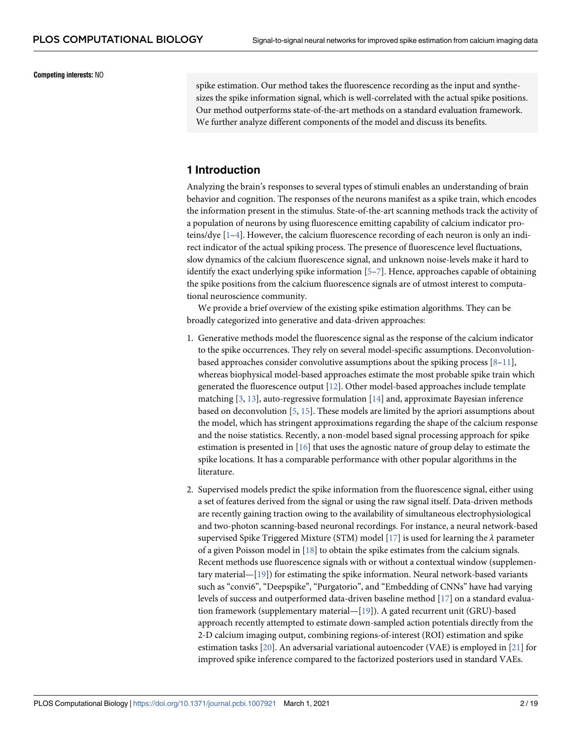<span id="page-1-0"></span>**Competing interests:** NO

spike estimation. Our method takes the fluorescence recording as the input and synthesizes the spike information signal, which is well-correlated with the actual spike positions. Our method outperforms state-of-the-art methods on a standard evaluation framework. We further analyze different components of the model and discuss its benefits.

## **1 Introduction**

Analyzing the brain's responses to several types of stimuli enables an understanding of brain behavior and cognition. The responses of the neurons manifest as a spike train, which encodes the information present in the stimulus. State-of-the-art scanning methods track the activity of a population of neurons by using fluorescence emitting capability of calcium indicator proteins/dye  $[1-4]$ . However, the calcium fluorescence recording of each neuron is only an indirect indicator of the actual spiking process. The presence of fluorescence level fluctuations, slow dynamics of the calcium fluorescence signal, and unknown noise-levels make it hard to identify the exact underlying spike information  $[5-7]$ . Hence, approaches capable of obtaining the spike positions from the calcium fluorescence signals are of utmost interest to computational neuroscience community.

We provide a brief overview of the existing spike estimation algorithms. They can be broadly categorized into generative and data-driven approaches:

- 1. Generative methods model the fluorescence signal as the response of the calcium indicator to the spike occurrences. They rely on several model-specific assumptions. Deconvolutionbased approaches consider convolutive assumptions about the spiking process  $[8-11]$ , whereas biophysical model-based approaches estimate the most probable spike train which generated the fluorescence output [\[12\]](#page-17-0). Other model-based approaches include template matching  $[3, 13]$  $[3, 13]$  $[3, 13]$  $[3, 13]$ , auto-regressive formulation  $[14]$  and, approximate Bayesian inference based on deconvolution  $[5, 15]$  $[5, 15]$  $[5, 15]$  $[5, 15]$ . These models are limited by the apriori assumptions about the model, which has stringent approximations regarding the shape of the calcium response and the noise statistics. Recently, a non-model based signal processing approach for spike estimation is presented in [[16](#page-17-0)] that uses the agnostic nature of group delay to estimate the spike locations. It has a comparable performance with other popular algorithms in the literature.
- 2. Supervised models predict the spike information from the fluorescence signal, either using a set of features derived from the signal or using the raw signal itself. Data-driven methods are recently gaining traction owing to the availability of simultaneous electrophysiological and two-photon scanning-based neuronal recordings. For instance, a neural network-based supervised Spike Triggered Mixture (STM) model [\[17\]](#page-17-0) is used for learning the *λ* parameter of a given Poisson model in  $[18]$  to obtain the spike estimates from the calcium signals. Recent methods use fluorescence signals with or without a contextual window (supplementary material—[\[19\]](#page-17-0)) for estimating the spike information. Neural network-based variants such as "convi6", "Deepspike", "Purgatorio", and "Embedding of CNNs" have had varying levels of success and outperformed data-driven baseline method  $[17]$  $[17]$  $[17]$  on a standard evalua-tion framework (supplementary material—[\[19\]](#page-17-0)). A gated recurrent unit (GRU)-based approach recently attempted to estimate down-sampled action potentials directly from the 2-D calcium imaging output, combining regions-of-interest (ROI) estimation and spike estimation tasks [[20](#page-17-0)]. An adversarial variational autoencoder (VAE) is employed in [\[21](#page-18-0)] for improved spike inference compared to the factorized posteriors used in standard VAEs.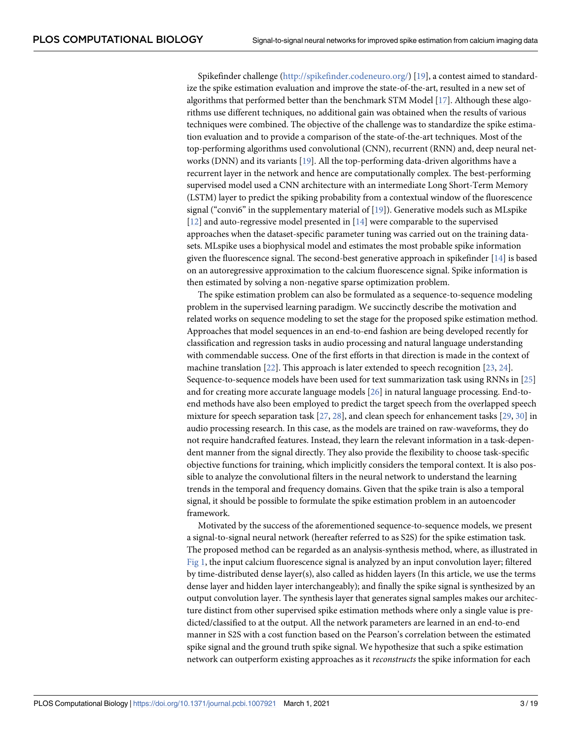<span id="page-2-0"></span>Spikefinder challenge [\(http://spikefinder.codeneuro.org/](http://spikefinder.codeneuro.org/)) [\[19\]](#page-17-0), a contest aimed to standardize the spike estimation evaluation and improve the state-of-the-art, resulted in a new set of algorithms that performed better than the benchmark STM Model [\[17\]](#page-17-0). Although these algorithms use different techniques, no additional gain was obtained when the results of various techniques were combined. The objective of the challenge was to standardize the spike estimation evaluation and to provide a comparison of the state-of-the-art techniques. Most of the top-performing algorithms used convolutional (CNN), recurrent (RNN) and, deep neural networks (DNN) and its variants [[19](#page-17-0)]. All the top-performing data-driven algorithms have a recurrent layer in the network and hence are computationally complex. The best-performing supervised model used a CNN architecture with an intermediate Long Short-Term Memory (LSTM) layer to predict the spiking probability from a contextual window of the fluorescence signal ("convi6" in the supplementary material of  $[19]$ ). Generative models such as MLspike [\[12\]](#page-17-0) and auto-regressive model presented in [[14](#page-17-0)] were comparable to the supervised approaches when the dataset-specific parameter tuning was carried out on the training datasets. MLspike uses a biophysical model and estimates the most probable spike information given the fluorescence signal. The second-best generative approach in spikefinder [\[14\]](#page-17-0) is based on an autoregressive approximation to the calcium fluorescence signal. Spike information is then estimated by solving a non-negative sparse optimization problem.

The spike estimation problem can also be formulated as a sequence-to-sequence modeling problem in the supervised learning paradigm. We succinctly describe the motivation and related works on sequence modeling to set the stage for the proposed spike estimation method. Approaches that model sequences in an end-to-end fashion are being developed recently for classification and regression tasks in audio processing and natural language understanding with commendable success. One of the first efforts in that direction is made in the context of machine translation [\[22\]](#page-18-0). This approach is later extended to speech recognition [\[23,](#page-18-0) [24\]](#page-18-0). Sequence-to-sequence models have been used for text summarization task using RNNs in [\[25](#page-18-0)] and for creating more accurate language models [[26](#page-18-0)] in natural language processing. End-toend methods have also been employed to predict the target speech from the overlapped speech mixture for speech separation task  $[27, 28]$  $[27, 28]$  $[27, 28]$ , and clean speech for enhancement tasks  $[29, 30]$  $[29, 30]$  $[29, 30]$  $[29, 30]$  in audio processing research. In this case, as the models are trained on raw-waveforms, they do not require handcrafted features. Instead, they learn the relevant information in a task-dependent manner from the signal directly. They also provide the flexibility to choose task-specific objective functions for training, which implicitly considers the temporal context. It is also possible to analyze the convolutional filters in the neural network to understand the learning trends in the temporal and frequency domains. Given that the spike train is also a temporal signal, it should be possible to formulate the spike estimation problem in an autoencoder framework.

Motivated by the success of the aforementioned sequence-to-sequence models, we present a signal-to-signal neural network (hereafter referred to as S2S) for the spike estimation task. The proposed method can be regarded as an analysis-synthesis method, where, as illustrated in [Fig 1,](#page-3-0) the input calcium fluorescence signal is analyzed by an input convolution layer; filtered by time-distributed dense layer(s), also called as hidden layers (In this article, we use the terms dense layer and hidden layer interchangeably); and finally the spike signal is synthesized by an output convolution layer. The synthesis layer that generates signal samples makes our architecture distinct from other supervised spike estimation methods where only a single value is predicted/classified to at the output. All the network parameters are learned in an end-to-end manner in S2S with a cost function based on the Pearson's correlation between the estimated spike signal and the ground truth spike signal. We hypothesize that such a spike estimation network can outperform existing approaches as it reconstructs the spike information for each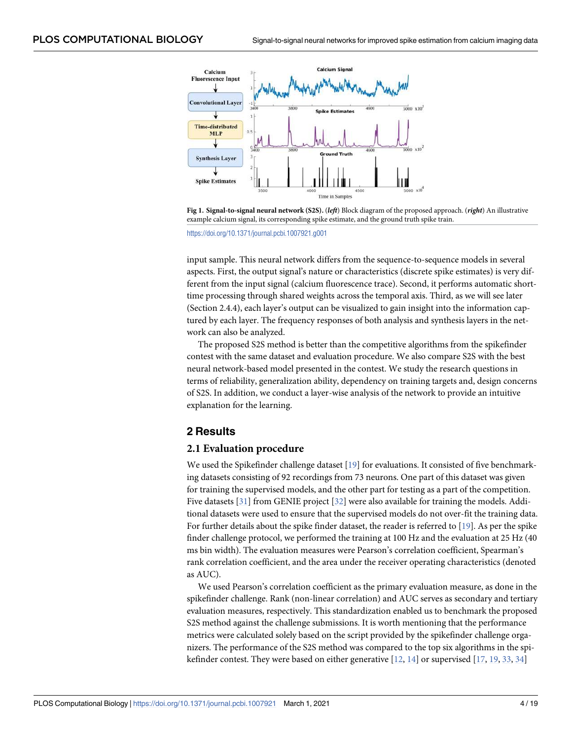<span id="page-3-0"></span>



input sample. This neural network differs from the sequence-to-sequence models in several aspects. First, the output signal's nature or characteristics (discrete spike estimates) is very different from the input signal (calcium fluorescence trace). Second, it performs automatic shorttime processing through shared weights across the temporal axis. Third, as we will see later (Section 2.4.4), each layer's output can be visualized to gain insight into the information captured by each layer. The frequency responses of both analysis and synthesis layers in the network can also be analyzed.

The proposed S2S method is better than the competitive algorithms from the spikefinder contest with the same dataset and evaluation procedure. We also compare S2S with the best neural network-based model presented in the contest. We study the research questions in terms of reliability, generalization ability, dependency on training targets and, design concerns of S2S. In addition, we conduct a layer-wise analysis of the network to provide an intuitive explanation for the learning.

#### **2 Results**

#### **2.1 Evaluation procedure**

We used the Spikefinder challenge dataset [[19](#page-17-0)] for evaluations. It consisted of five benchmarking datasets consisting of 92 recordings from 73 neurons. One part of this dataset was given for training the supervised models, and the other part for testing as a part of the competition. Five datasets [[31](#page-18-0)] from GENIE project [\[32\]](#page-18-0) were also available for training the models. Additional datasets were used to ensure that the supervised models do not over-fit the training data. For further details about the spike finder dataset, the reader is referred to [\[19\]](#page-17-0). As per the spike finder challenge protocol, we performed the training at 100 Hz and the evaluation at 25 Hz (40 ms bin width). The evaluation measures were Pearson's correlation coefficient, Spearman's rank correlation coefficient, and the area under the receiver operating characteristics (denoted as AUC).

We used Pearson's correlation coefficient as the primary evaluation measure, as done in the spikefinder challenge. Rank (non-linear correlation) and AUC serves as secondary and tertiary evaluation measures, respectively. This standardization enabled us to benchmark the proposed S2S method against the challenge submissions. It is worth mentioning that the performance metrics were calculated solely based on the script provided by the spikefinder challenge organizers. The performance of the S2S method was compared to the top six algorithms in the spikefinder contest. They were based on either generative  $[12, 14]$  $[12, 14]$  $[12, 14]$  $[12, 14]$  $[12, 14]$  or supervised  $[17, 19, 33, 34]$  $[17, 19, 33, 34]$  $[17, 19, 33, 34]$  $[17, 19, 33, 34]$  $[17, 19, 33, 34]$  $[17, 19, 33, 34]$  $[17, 19, 33, 34]$  $[17, 19, 33, 34]$  $[17, 19, 33, 34]$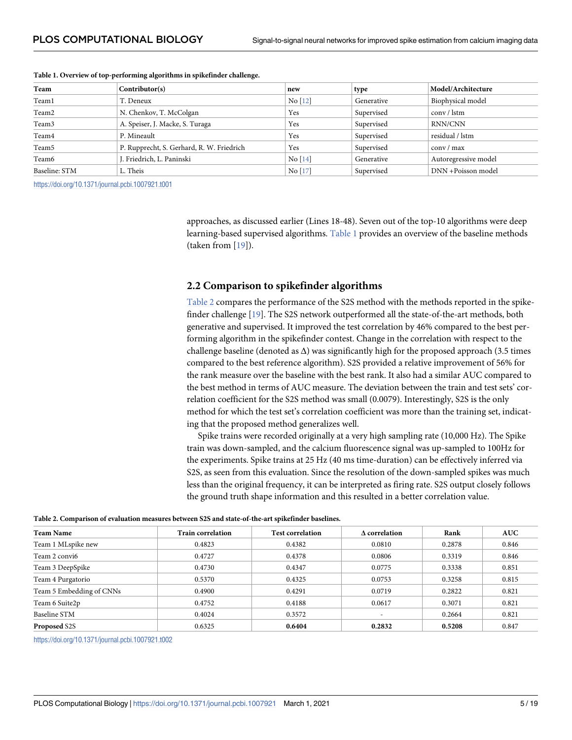| Team              | Contribution(s)                           | new     | type       | Model/Architecture   |
|-------------------|-------------------------------------------|---------|------------|----------------------|
| Team1             | T. Deneux                                 | No [12] | Generative | Biophysical model    |
| Team <sub>2</sub> | N. Chenkov, T. McColgan                   | Yes     | Supervised | conv / lstm          |
| Team <sub>3</sub> | A. Speiser, J. Macke, S. Turaga           | Yes     | Supervised | RNN/CNN              |
| Team4             | P. Mineault                               | Yes     | Supervised | residual / lstm      |
| Team <sub>5</sub> | P. Rupprecht, S. Gerhard, R. W. Friedrich | Yes     | Supervised | conv/max             |
| Team6             | J. Friedrich, L. Paninski                 | No [14] | Generative | Autoregressive model |
| Baseline: STM     | L. Theis                                  | No [17] | Supervised | DNN +Poisson model   |

#### <span id="page-4-0"></span>**Table 1. Overview of top-performing algorithms in spikefinder challenge.**

<https://doi.org/10.1371/journal.pcbi.1007921.t001>

approaches, as discussed earlier (Lines 18-48). Seven out of the top-10 algorithms were deep learning-based supervised algorithms. Table 1 provides an overview of the baseline methods (taken from [\[19\]](#page-17-0)).

#### **2.2 Comparison to spikefinder algorithms**

Table 2 compares the performance of the S2S method with the methods reported in the spikefinder challenge [\[19\]](#page-17-0). The S2S network outperformed all the state-of-the-art methods, both generative and supervised. It improved the test correlation by 46% compared to the best performing algorithm in the spikefinder contest. Change in the correlation with respect to the challenge baseline (denoted as  $\Delta$ ) was significantly high for the proposed approach (3.5 times compared to the best reference algorithm). S2S provided a relative improvement of 56% for the rank measure over the baseline with the best rank. It also had a similar AUC compared to the best method in terms of AUC measure. The deviation between the train and test sets' correlation coefficient for the S2S method was small (0.0079). Interestingly, S2S is the only method for which the test set's correlation coefficient was more than the training set, indicating that the proposed method generalizes well.

Spike trains were recorded originally at a very high sampling rate (10,000 Hz). The Spike train was down-sampled, and the calcium fluorescence signal was up-sampled to 100Hz for the experiments. Spike trains at 25 Hz (40 ms time-duration) can be effectively inferred via S2S, as seen from this evaluation. Since the resolution of the down-sampled spikes was much less than the original frequency, it can be interpreted as firing rate. S2S output closely follows the ground truth shape information and this resulted in a better correlation value.

| Table 2. Comparison of evaluation measures between S2S and state-of-the-art spikefinder baselines. |  |  |  |  |  |
|----------------------------------------------------------------------------------------------------|--|--|--|--|--|
|----------------------------------------------------------------------------------------------------|--|--|--|--|--|

| <b>Team Name</b>         | Train correlation | <b>Test correlation</b> | $\Delta$ correlation | Rank   | <b>AUC</b> |
|--------------------------|-------------------|-------------------------|----------------------|--------|------------|
| Team 1 MLspike new       | 0.4823            | 0.4382                  | 0.0810               | 0.2878 | 0.846      |
| Team 2 convi6            | 0.4727            | 0.4378                  | 0.0806               | 0.3319 | 0.846      |
| Team 3 DeepSpike         | 0.4730            | 0.4347                  | 0.0775               | 0.3338 | 0.851      |
| Team 4 Purgatorio        | 0.5370            | 0.4325                  | 0.0753               | 0.3258 | 0.815      |
| Team 5 Embedding of CNNs | 0.4900            | 0.4291                  | 0.0719               | 0.2822 | 0.821      |
| Team 6 Suite2p           | 0.4752            | 0.4188                  | 0.0617               | 0.3071 | 0.821      |
| Baseline STM             | 0.4024            | 0.3572                  | ۰                    | 0.2664 | 0.821      |
| <b>Proposed S2S</b>      | 0.6325            | 0.6404                  | 0.2832               | 0.5208 | 0.847      |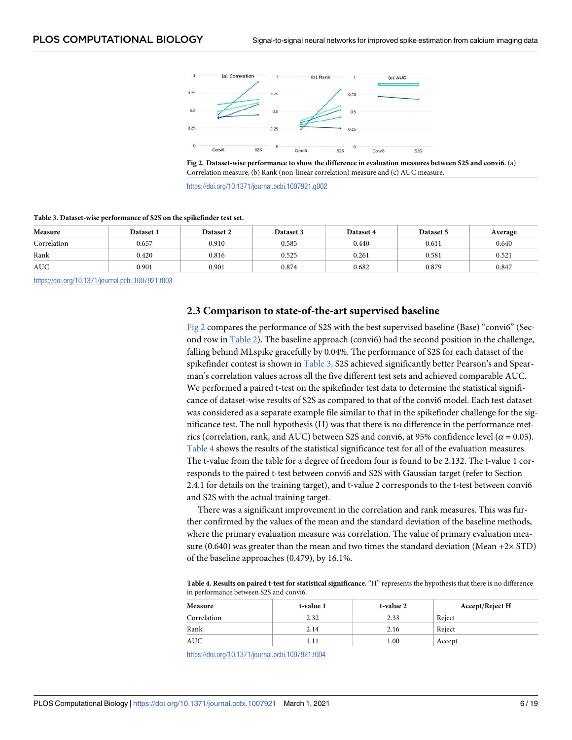<span id="page-5-0"></span>

**Fig 2. Dataset-wise performance to show the difference in evaluation measures between S2S and convi6.** (a) Correlation measure, (b) Rank (non-linear correlation) measure and (c) AUC measure.

<https://doi.org/10.1371/journal.pcbi.1007921.g002>

#### **Table 3. Dataset-wise performance of S2S on the spikefinder test set.**

| Measure     | Dataset 1 | Dataset 2 | Dataset 3 | Dataset 4 | Dataset 5 | Average |
|-------------|-----------|-----------|-----------|-----------|-----------|---------|
| Correlation | 0.657     | 0.910     | 0.585     | 0.440     | 0.611     | 0.640   |
| Rank        | 0.420     | 0.816     | 0.525     | 0.261     | 0.581     | 0.521   |
| <b>AUC</b>  | 0.901     | 0.901     | 0.874     | 0.682     | 0.879     | 0.847   |

<https://doi.org/10.1371/journal.pcbi.1007921.t003>

#### **2.3 Comparison to state-of-the-art supervised baseline**

Fig 2 compares the performance of S2S with the best supervised baseline (Base) "convi6" (Second row in [Table 2](#page-4-0)). The baseline approach (convi6) had the second position in the challenge, falling behind MLspike gracefully by 0.04%. The performance of S2S for each dataset of the spikefinder contest is shown in Table 3. S2S achieved significantly better Pearson's and Spearman's correlation values across all the five different test sets and achieved comparable AUC. We performed a paired t-test on the spikefinder test data to determine the statistical significance of dataset-wise results of S2S as compared to that of the convi6 model. Each test dataset was considered as a separate example file similar to that in the spikefinder challenge for the significance test. The null hypothesis (H) was that there is no difference in the performance metrics (correlation, rank, and AUC) between S2S and convi6, at 95% confidence level ( $\alpha$  = 0.05). Table 4 shows the results of the statistical significance test for all of the evaluation measures. The t-value from the table for a degree of freedom four is found to be 2.132. The t-value 1 corresponds to the paired t-test between convi6 and S2S with Gaussian target (refer to Section 2.4.1 for details on the training target), and t-value 2 corresponds to the t-test between convi6 and S2S with the actual training target.

There was a significant improvement in the correlation and rank measures. This was further confirmed by the values of the mean and the standard deviation of the baseline methods, where the primary evaluation measure was correlation. The value of primary evaluation measure (0.640) was greater than the mean and two times the standard deviation (Mean  $+2\times$  STD) of the baseline approaches (0.479), by 16.1%.

**Table 4. Results on paired t-test for statistical significance.** "H" represents the hypothesis that there is no difference in performance between S2S and convi6.

| Measure     | t-value 1 | t-value 2 | Accept/Reject H |
|-------------|-----------|-----------|-----------------|
| Correlation | 2.32      | 2.33      | Reject          |
| Rank        | 2.14      | 2.16      | Reiect          |
| AUC         | 1.11      | 1.00      | Accept          |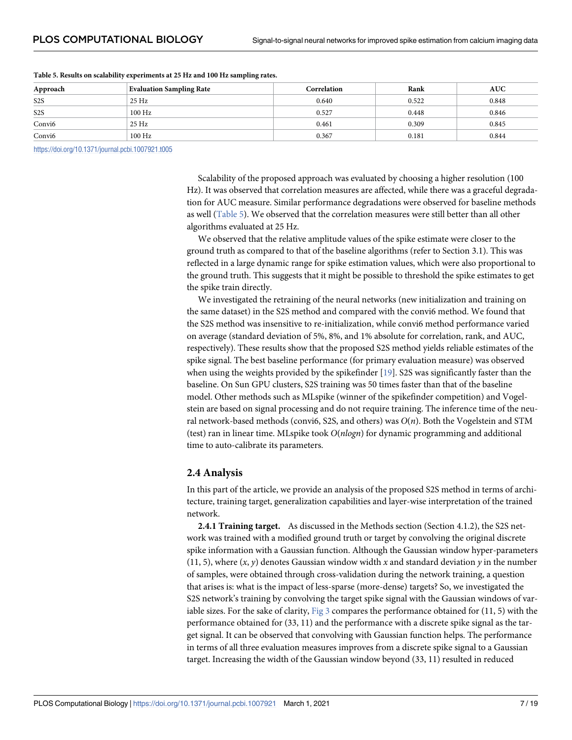| Approach         | <b>Evaluation Sampling Rate</b> | Correlation | Rank  | <b>AUC</b> |
|------------------|---------------------------------|-------------|-------|------------|
| S <sub>2</sub> S | 25 Hz                           | 0.640       | 0.522 | 0.848      |
| S <sub>2</sub> S | $100\ \mathrm{Hz}$              | 0.527       | 0.448 | 0.846      |
| Convi6           | 25 Hz                           | 0.461       | 0.309 | 0.845      |
| Convi6           | 100 Hz                          | 0.367       | 0.181 | 0.844      |

#### <span id="page-6-0"></span>**Table 5. Results on scalability experiments at 25 Hz and 100 Hz sampling rates.**

<https://doi.org/10.1371/journal.pcbi.1007921.t005>

Scalability of the proposed approach was evaluated by choosing a higher resolution (100 Hz). It was observed that correlation measures are affected, while there was a graceful degradation for AUC measure. Similar performance degradations were observed for baseline methods as well (Table 5). We observed that the correlation measures were still better than all other algorithms evaluated at 25 Hz.

We observed that the relative amplitude values of the spike estimate were closer to the ground truth as compared to that of the baseline algorithms (refer to Section 3.1). This was reflected in a large dynamic range for spike estimation values, which were also proportional to the ground truth. This suggests that it might be possible to threshold the spike estimates to get the spike train directly.

We investigated the retraining of the neural networks (new initialization and training on the same dataset) in the S2S method and compared with the convi6 method. We found that the S2S method was insensitive to re-initialization, while convi6 method performance varied on average (standard deviation of 5%, 8%, and 1% absolute for correlation, rank, and AUC, respectively). These results show that the proposed S2S method yields reliable estimates of the spike signal. The best baseline performance (for primary evaluation measure) was observed when using the weights provided by the spikefinder [\[19\]](#page-17-0). S2S was significantly faster than the baseline. On Sun GPU clusters, S2S training was 50 times faster than that of the baseline model. Other methods such as MLspike (winner of the spikefinder competition) and Vogelstein are based on signal processing and do not require training. The inference time of the neural network-based methods (convi6, S2S, and others) was  $O(n)$ . Both the Vogelstein and STM (test) ran in linear time. MLspike took  $O(nlog n)$  for dynamic programming and additional time to auto-calibrate its parameters.

#### **2.4 Analysis**

In this part of the article, we provide an analysis of the proposed S2S method in terms of architecture, training target, generalization capabilities and layer-wise interpretation of the trained network.

**2.4.1 Training target.** As discussed in the Methods section (Section 4.1.2), the S2S network was trained with a modified ground truth or target by convolving the original discrete spike information with a Gaussian function. Although the Gaussian window hyper-parameters  $(11, 5)$ , where  $(x, y)$  denotes Gaussian window width x and standard deviation y in the number of samples, were obtained through cross-validation during the network training, a question that arises is: what is the impact of less-sparse (more-dense) targets? So, we investigated the S2S network's training by convolving the target spike signal with the Gaussian windows of variable sizes. For the sake of clarity,  $Fig 3$  compares the performance obtained for (11, 5) with the performance obtained for (33, 11) and the performance with a discrete spike signal as the target signal. It can be observed that convolving with Gaussian function helps. The performance in terms of all three evaluation measures improves from a discrete spike signal to a Gaussian target. Increasing the width of the Gaussian window beyond (33, 11) resulted in reduced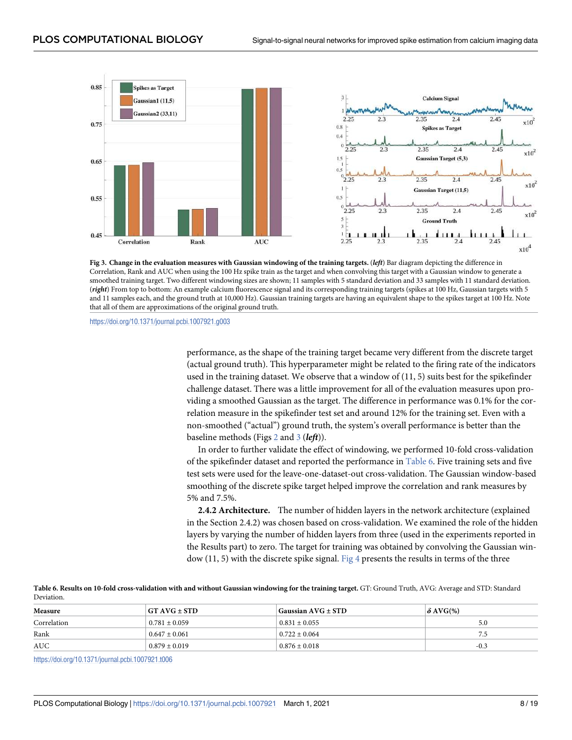<span id="page-7-0"></span>

**[Fig 3. C](#page-6-0)hange in the evaluation measures with Gaussian windowing of the training targets.** (**left**) Bar diagram depicting the difference in Correlation, Rank and AUC when using the 100 Hz spike train as the target and when convolving this target with a Gaussian window to generate a smoothed training target. Two different windowing sizes are shown; 11 samples with 5 standard deviation and 33 samples with 11 standard deviation. (**right**) From top to bottom: An example calcium fluorescence signal and its corresponding training targets (spikes at 100 Hz, Gaussian targets with 5 and 11 samples each, and the ground truth at 10,000 Hz). Gaussian training targets are having an equivalent shape to the spikes target at 100 Hz. Note that all of them are approximations of the original ground truth.

performance, as the shape of the training target became very different from the discrete target (actual ground truth). This hyperparameter might be related to the firing rate of the indicators used in the training dataset. We observe that a window of  $(11, 5)$  suits best for the spikefinder challenge dataset. There was a little improvement for all of the evaluation measures upon providing a smoothed Gaussian as the target. The difference in performance was 0.1% for the correlation measure in the spikefinder test set and around 12% for the training set. Even with a non-smoothed ("actual") ground truth, the system's overall performance is better than the baseline methods (Figs [2](#page-5-0) and 3 (**left**)).

In order to further validate the effect of windowing, we performed 10-fold cross-validation of the spikefinder dataset and reported the performance in Table 6. Five training sets and five test sets were used for the leave-one-dataset-out cross-validation. The Gaussian window-based smoothing of the discrete spike target helped improve the correlation and rank measures by 5% and 7.5%.

**2.4.2 Architecture.** The number of hidden layers in the network architecture (explained in the Section 2.4.2) was chosen based on cross-validation. We examined the role of the hidden layers by varying the number of hidden layers from three (used in the experiments reported in the Results part) to zero. The target for training was obtained by convolving the Gaussian window (11, 5) with the discrete spike signal.  $Fig 4$  presents the results in terms of the three

| Table 6. Results on 10-fold cross-validation with and without Gaussian windowing for the training target. GT: Ground Truth, AVG: Average and STD: Standard |  |
|------------------------------------------------------------------------------------------------------------------------------------------------------------|--|
| Deviation.                                                                                                                                                 |  |

| Measure     | $GTAVG \pm STD$   | Gaussian $AVG \pm STD$ | $\delta$ AVG(%) |
|-------------|-------------------|------------------------|-----------------|
| Correlation | $0.781 \pm 0.059$ | $0.831 \pm 0.055$      | 5.0             |
| Rank        | $0.647 \pm 0.061$ | $0.722 + 0.064$        | ر.,             |
| <b>AUC</b>  | $0.879 \pm 0.019$ | $0.876 \pm 0.018$      | $-0.3$          |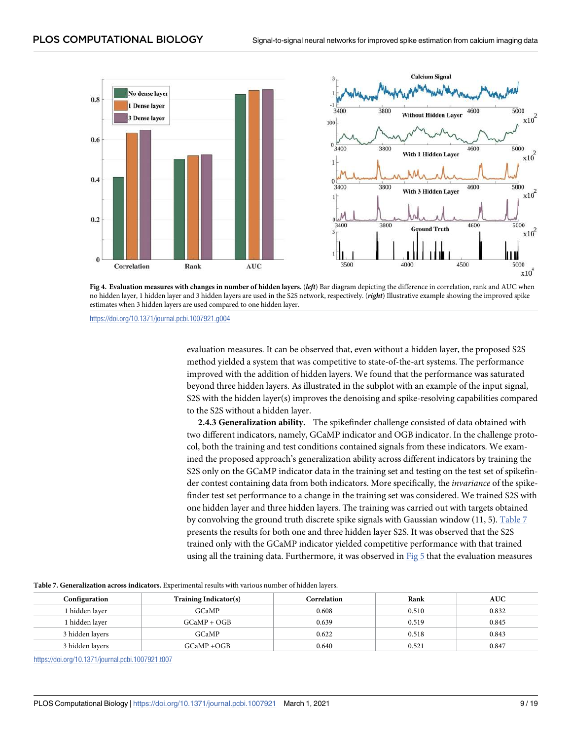<span id="page-8-0"></span>



evaluation measures. It can be observed that, even without a hidden layer, the proposed S2S method yielded a system that was competitive to state-of-the-art systems. The performance improved with the addition of hidden layers. We found that the performance was saturated beyond three hidden layers. As illustrated in the subplot with an example of the input signal, S2S with the hidden layer(s) improves the denoising and spike-resolving capabilities compared to the S2S without a hidden layer.

**2.4.3 Generalization ability.** The spikefinder challenge consisted of data obtained with two different indicators, namely, GCaMP indicator and OGB indicator. In the challenge protocol, both the training and test conditions contained signals from these indicators. We examined the proposed approach's generalization ability across different indicators by training the S2S only on the GCaMP indicator data in the training set and testing on the test set of spikefinder contest containing data from both indicators. More specifically, the invariance of the spikefinder test set performance to a change in the training set was considered. We trained S2S with one hidden layer and three hidden layers. The training was carried out with targets obtained by convolving the ground truth discrete spike signals with Gaussian window (11, 5). Table 7 presents the results for both one and three hidden layer S2S. It was observed that the S2S trained only with the GCaMP indicator yielded competitive performance with that trained using all the training data. Furthermore, it was observed in  $Fig 5$  that the evaluation measures

| Table 7. Generalization across indicators. Experimental results with various number of hidden lavers. |
|-------------------------------------------------------------------------------------------------------|
|-------------------------------------------------------------------------------------------------------|

| Configuration   | <b>Training Indicator(s)</b> | Correlation | Rank  | <b>AUC</b> |  |  |
|-----------------|------------------------------|-------------|-------|------------|--|--|
| hidden laver    | GCaMP                        | 0.608       | 0.510 | 0.832      |  |  |
| 1 hidden laver  | $GCaMP + OGB$                | 0.639       | 0.519 | 0.845      |  |  |
| 3 hidden lavers | <b>GCaMP</b>                 | 0.622       | 0.518 | 0.843      |  |  |
| 3 hidden layers | $GCaMP + OGB$                | 0.640       | 0.521 | 0.847      |  |  |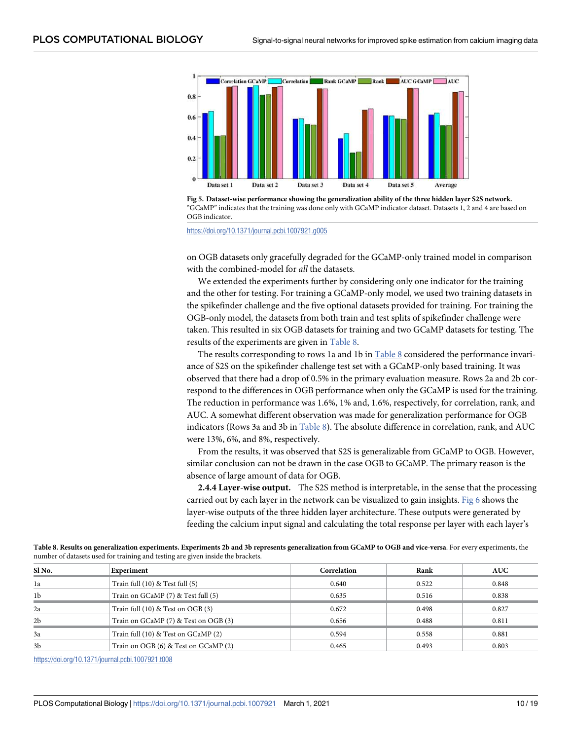<span id="page-9-0"></span>

**[Fig 5. D](#page-8-0)ataset-wise performance showing the generalization ability of the three hidden layer S2S network.** "GCaMP" indicates that the training was done only with GCaMP indicator dataset. Datasets 1, 2 and 4 are based on OGB indicator.



on OGB datasets only gracefully degraded for the GCaMP-only trained model in comparison with the combined-model for all the datasets.

We extended the experiments further by considering only one indicator for the training and the other for testing. For training a GCaMP-only model, we used two training datasets in the spikefinder challenge and the five optional datasets provided for training. For training the OGB-only model, the datasets from both train and test splits of spikefinder challenge were taken. This resulted in six OGB datasets for training and two GCaMP datasets for testing. The results of the experiments are given in Table 8.

The results corresponding to rows 1a and 1b in  $Table 8$  considered the performance invariance of S2S on the spikefinder challenge test set with a GCaMP-only based training. It was observed that there had a drop of 0.5% in the primary evaluation measure. Rows 2a and 2b correspond to the differences in OGB performance when only the GCaMP is used for the training. The reduction in performance was 1.6%, 1% and, 1.6%, respectively, for correlation, rank, and AUC. A somewhat different observation was made for generalization performance for OGB indicators (Rows 3a and 3b in  $Table 8$ ). The absolute difference in correlation, rank, and AUC were 13%, 6%, and 8%, respectively.

From the results, it was observed that S2S is generalizable from GCaMP to OGB. However, similar conclusion can not be drawn in the case OGB to GCaMP. The primary reason is the absence of large amount of data for OGB.

**2.4.4 Layer-wise output.** The S2S method is interpretable, in the sense that the processing carried out by each layer in the network can be visualized to gain insights. [Fig 6](#page-10-0) shows the layer-wise outputs of the three hidden layer architecture. These outputs were generated by feeding the calcium input signal and calculating the total response per layer with each layer's

| mander or aansets ased for training and testing are given model the orderets. |                                       |             |       |            |  |  |
|-------------------------------------------------------------------------------|---------------------------------------|-------------|-------|------------|--|--|
| Sl No.                                                                        | Experiment                            | Correlation | Rank  | <b>AUC</b> |  |  |
| 1a                                                                            | Train full $(10)$ & Test full $(5)$   | 0.640       | 0.522 | 0.848      |  |  |
| 1b                                                                            | Train on GCaMP (7) & Test full (5)    | 0.635       | 0.516 | 0.838      |  |  |
| 2a                                                                            | Train full $(10)$ & Test on OGB $(3)$ | 0.672       | 0.498 | 0.827      |  |  |
| 2b                                                                            | Train on GCaMP (7) & Test on OGB (3)  | 0.656       | 0.488 | 0.811      |  |  |
| 3a                                                                            | Train full (10) & Test on GCaMP (2)   | 0.594       | 0.558 | 0.881      |  |  |
| 3b.                                                                           | Train on OGB (6) & Test on GCaMP (2)  | 0.465       | 0.493 | 0.803      |  |  |

**Table 8. Results on generalization experiments. Experiments 2b and 3b represents generalization from GCaMP to OGB and vice-versa**. For every experiments, the number of datasets used for training and testing are given inside the brackets.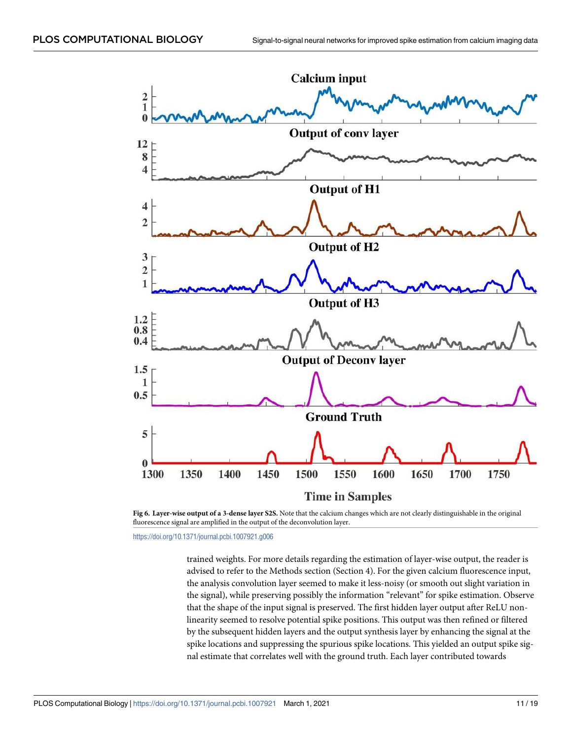<span id="page-10-0"></span>



trained weights. For more details regarding the estimation of layer-wise output, the reader is advised to refer to the Methods section (Section 4). For the given calcium fluorescence input, the analysis convolution layer seemed to make it less-noisy (or smooth out slight variation in the signal), while preserving possibly the information "relevant" for spike estimation. Observe that the shape of the input signal is preserved. The first hidden layer output after ReLU nonlinearity seemed to resolve potential spike positions. This output was then refined or filtered by the subsequent hidden layers and the output synthesis layer by enhancing the signal at the spike locations and suppressing the spurious spike locations. This yielded an output spike signal estimate that correlates well with the ground truth. Each layer contributed towards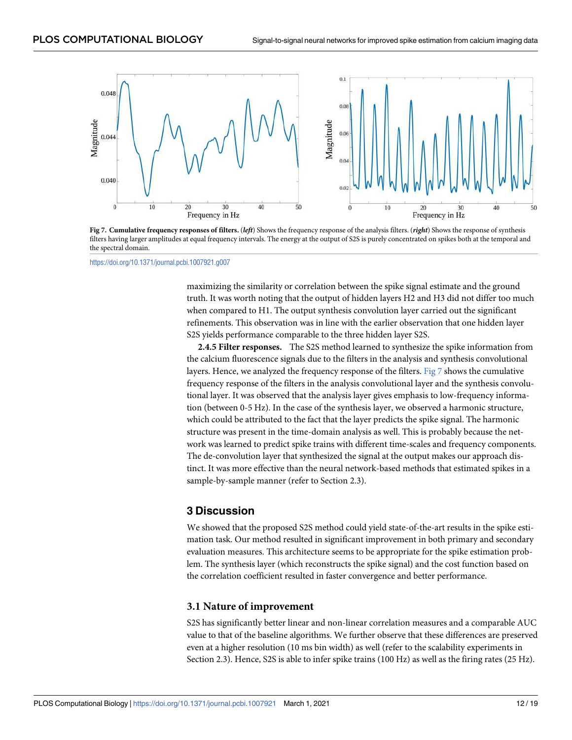<span id="page-11-0"></span>

**Fig 7. Cumulative frequency responses of filters.** (**left**) Shows the frequency response of the analysis filters. (**right**) Shows the response of synthesis filters having larger amplitudes at equal frequency intervals. The energy at the output of S2S is purely concentrated on spikes both at the temporal and the spectral domain.

maximizing the similarity or correlation between the spike signal estimate and the ground truth. It was worth noting that the output of hidden layers H2 and H3 did not differ too much when compared to H1. The output synthesis convolution layer carried out the significant refinements. This observation was in line with the earlier observation that one hidden layer S2S yields performance comparable to the three hidden layer S2S.

**2.4.5 Filter responses.** The S2S method learned to synthesize the spike information from the calcium fluorescence signals due to the filters in the analysis and synthesis convolutional layers. Hence, we analyzed the frequency response of the filters. Fig 7 shows the cumulative frequency response of the filters in the analysis convolutional layer and the synthesis convolutional layer. It was observed that the analysis layer gives emphasis to low-frequency information (between 0-5 Hz). In the case of the synthesis layer, we observed a harmonic structure, which could be attributed to the fact that the layer predicts the spike signal. The harmonic structure was present in the time-domain analysis as well. This is probably because the network was learned to predict spike trains with different time-scales and frequency components. The de-convolution layer that synthesized the signal at the output makes our approach distinct. It was more effective than the neural network-based methods that estimated spikes in a sample-by-sample manner (refer to Section 2.3).

#### **3 Discussion**

We showed that the proposed S2S method could yield state-of-the-art results in the spike estimation task. Our method resulted in significant improvement in both primary and secondary evaluation measures. This architecture seems to be appropriate for the spike estimation problem. The synthesis layer (which reconstructs the spike signal) and the cost function based on the correlation coefficient resulted in faster convergence and better performance.

#### **3.1 Nature of improvement**

S2S has significantly better linear and non-linear correlation measures and a comparable AUC value to that of the baseline algorithms. We further observe that these differences are preserved even at a higher resolution (10 ms bin width) as well (refer to the scalability experiments in Section 2.3). Hence, S2S is able to infer spike trains (100 Hz) as well as the firing rates (25 Hz).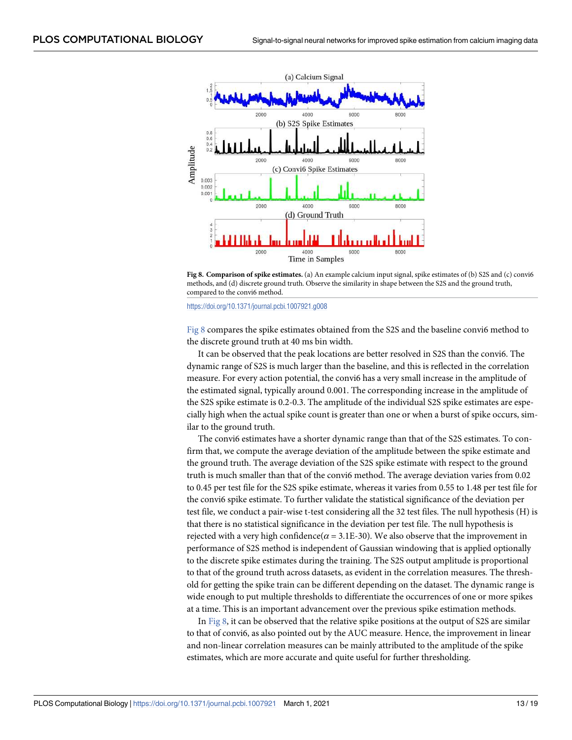

**[Fig 8. C](#page-11-0)omparison of spike estimates.** (a) An example calcium input signal, spike estimates of (b) S2S and (c) convi6 methods, and (d) discrete ground truth. Observe the similarity in shape between the S2S and the ground truth, compared to the convi6 method.

Fig 8 compares the spike estimates obtained from the S2S and the baseline convi6 method to the discrete ground truth at 40 ms bin width.

It can be observed that the peak locations are better resolved in S2S than the convi6. The dynamic range of S2S is much larger than the baseline, and this is reflected in the correlation measure. For every action potential, the convi6 has a very small increase in the amplitude of the estimated signal, typically around 0.001. The corresponding increase in the amplitude of the S2S spike estimate is 0.2-0.3. The amplitude of the individual S2S spike estimates are especially high when the actual spike count is greater than one or when a burst of spike occurs, similar to the ground truth.

The convi6 estimates have a shorter dynamic range than that of the S2S estimates. To confirm that, we compute the average deviation of the amplitude between the spike estimate and the ground truth. The average deviation of the S2S spike estimate with respect to the ground truth is much smaller than that of the convi6 method. The average deviation varies from 0.02 to 0.45 per test file for the S2S spike estimate, whereas it varies from 0.55 to 1.48 per test file for the convi6 spike estimate. To further validate the statistical significance of the deviation per test file, we conduct a pair-wise t-test considering all the 32 test files. The null hypothesis (H) is that there is no statistical significance in the deviation per test file. The null hypothesis is rejected with a very high confidence( $\alpha$  = 3.1E-30). We also observe that the improvement in performance of S2S method is independent of Gaussian windowing that is applied optionally to the discrete spike estimates during the training. The S2S output amplitude is proportional to that of the ground truth across datasets, as evident in the correlation measures. The threshold for getting the spike train can be different depending on the dataset. The dynamic range is wide enough to put multiple thresholds to differentiate the occurrences of one or more spikes at a time. This is an important advancement over the previous spike estimation methods.

In Fig  $8$ , it can be observed that the relative spike positions at the output of S2S are similar to that of convi6, as also pointed out by the AUC measure. Hence, the improvement in linear and non-linear correlation measures can be mainly attributed to the amplitude of the spike estimates, which are more accurate and quite useful for further thresholding.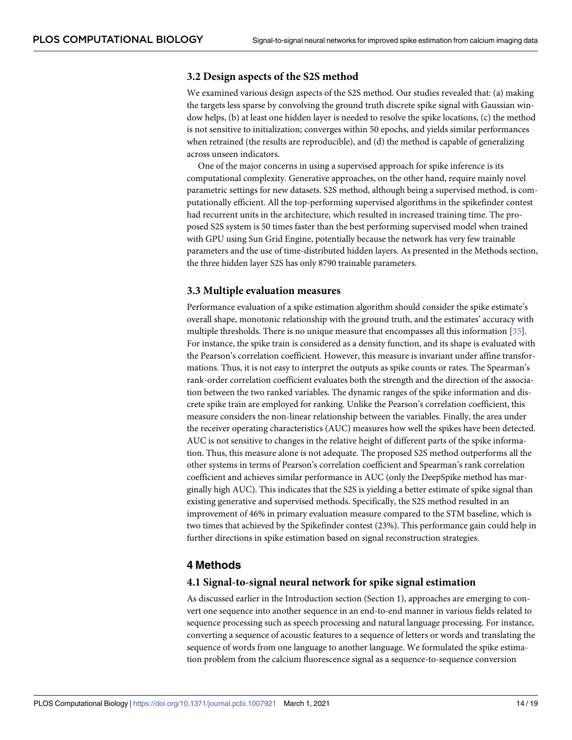## <span id="page-13-0"></span>**3.2 Design aspects of the S2S method**

We examined various design aspects of the S2S method. Our studies revealed that: (a) making the targets less sparse by convolving the ground truth discrete spike signal with Gaussian window helps, (b) at least one hidden layer is needed to resolve the spike locations, (c) the method is not sensitive to initialization; converges within 50 epochs, and yields similar performances when retrained (the results are reproducible), and (d) the method is capable of generalizing across unseen indicators.

One of the major concerns in using a supervised approach for spike inference is its computational complexity. Generative approaches, on the other hand, require mainly novel parametric settings for new datasets. S2S method, although being a supervised method, is computationally efficient. All the top-performing supervised algorithms in the spikefinder contest had recurrent units in the architecture, which resulted in increased training time. The proposed S2S system is 50 times faster than the best performing supervised model when trained with GPU using Sun Grid Engine, potentially because the network has very few trainable parameters and the use of time-distributed hidden layers. As presented in the Methods section, the three hidden layer S2S has only 8790 trainable parameters.

#### **3.3 Multiple evaluation measures**

Performance evaluation of a spike estimation algorithm should consider the spike estimate's overall shape, monotonic relationship with the ground truth, and the estimates' accuracy with multiple thresholds. There is no unique measure that encompasses all this information  $[35]$  $[35]$  $[35]$ . For instance, the spike train is considered as a density function, and its shape is evaluated with the Pearson's correlation coefficient. However, this measure is invariant under affine transformations. Thus, it is not easy to interpret the outputs as spike counts or rates. The Spearman's rank-order correlation coefficient evaluates both the strength and the direction of the association between the two ranked variables. The dynamic ranges of the spike information and discrete spike train are employed for ranking. Unlike the Pearson's correlation coefficient, this measure considers the non-linear relationship between the variables. Finally, the area under the receiver operating characteristics (AUC) measures how well the spikes have been detected. AUC is not sensitive to changes in the relative height of different parts of the spike information. Thus, this measure alone is not adequate. The proposed S2S method outperforms all the other systems in terms of Pearson's correlation coefficient and Spearman's rank correlation coefficient and achieves similar performance in AUC (only the DeepSpike method has marginally high AUC). This indicates that the S2S is yielding a better estimate of spike signal than existing generative and supervised methods. Specifically, the S2S method resulted in an improvement of 46% in primary evaluation measure compared to the STM baseline, which is two times that achieved by the Spikefinder contest (23%). This performance gain could help in further directions in spike estimation based on signal reconstruction strategies.

#### **4 Methods**

#### **4.1 Signal-to-signal neural network for spike signal estimation**

As discussed earlier in the Introduction section (Section 1), approaches are emerging to convert one sequence into another sequence in an end-to-end manner in various fields related to sequence processing such as speech processing and natural language processing. For instance, converting a sequence of acoustic features to a sequence of letters or words and translating the sequence of words from one language to another language. We formulated the spike estimation problem from the calcium fluorescence signal as a sequence-to-sequence conversion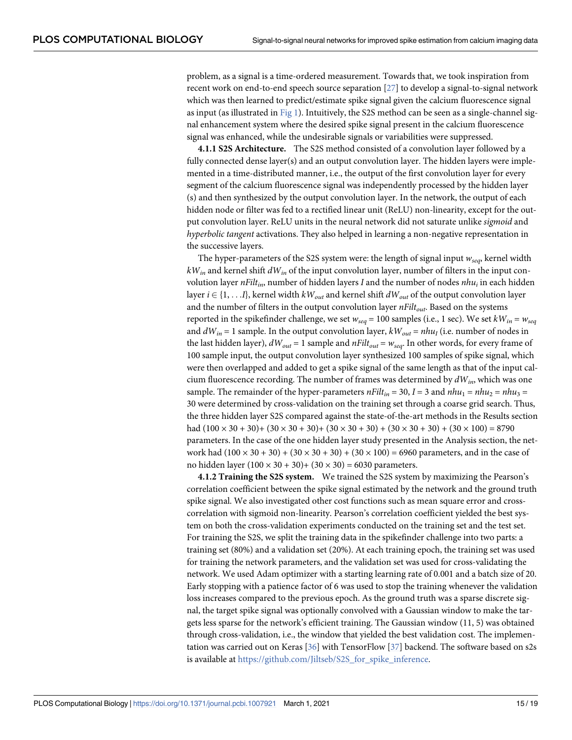<span id="page-14-0"></span>problem, as a signal is a time-ordered measurement. Towards that, we took inspiration from recent work on end-to-end speech source separation [\[27\]](#page-18-0) to develop a signal-to-signal network which was then learned to predict/estimate spike signal given the calcium fluorescence signal as input (as illustrated in [Fig 1](#page-3-0)). Intuitively, the S2S method can be seen as a single-channel signal enhancement system where the desired spike signal present in the calcium fluorescence signal was enhanced, while the undesirable signals or variabilities were suppressed.

**4.1.1 S2S Architecture.** The S2S method consisted of a convolution layer followed by a fully connected dense layer(s) and an output convolution layer. The hidden layers were implemented in a time-distributed manner, i.e., the output of the first convolution layer for every segment of the calcium fluorescence signal was independently processed by the hidden layer (s) and then synthesized by the output convolution layer. In the network, the output of each hidden node or filter was fed to a rectified linear unit (ReLU) non-linearity, except for the output convolution layer. ReLU units in the neural network did not saturate unlike sigmoid and hyperbolic tangent activations. They also helped in learning a non-negative representation in the successive layers.

The hyper-parameters of the S2S system were: the length of signal input  $w_{sea}$ , kernel width  $kW_{in}$  and kernel shift  $dW_{in}$  of the input convolution layer, number of filters in the input convolution layer  $nFilt_{in}$ , number of hidden layers  $I$  and the number of nodes  $nhu_i$  in each hidden layer  $i \in \{1, \ldots I\}$ , kernel width  $kW_{out}$  and kernel shift  $dW_{out}$  of the output convolution layer and the number of filters in the output convolution layer  $nFilt_{out}$ . Based on the systems reported in the spikefinder challenge, we set  $w_{seq} = 100$  samples (i.e., 1 sec). We set  $kW_{in} = w_{seq}$ and  $dW_{in}$  = 1 sample. In the output convolution layer,  $kW_{out}$  =  $nhu_I$  (i.e. number of nodes in the last hidden layer),  $dW_{out} = 1$  sample and  $nFilt_{out} = w_{seq}$ . In other words, for every frame of 100 sample input, the output convolution layer synthesized 100 samples of spike signal, which were then overlapped and added to get a spike signal of the same length as that of the input calcium fluorescence recording. The number of frames was determined by  $dW_{in}$ , which was one sample. The remainder of the hyper-parameters  $nFilt_{in} = 30$ ,  $I = 3$  and  $nhu_1 = nhu_2 = nhu_3 =$ 30 were determined by cross-validation on the training set through a coarse grid search. Thus, the three hidden layer S2S compared against the state-of-the-art methods in the Results section had  $(100 \times 30 + 30) + (30 \times 30 + 30) + (30 \times 30 + 30) + (30 \times 30 + 30) + (30 \times 100) = 8790$ parameters. In the case of the one hidden layer study presented in the Analysis section, the network had  $(100 \times 30 + 30) + (30 \times 30 + 30) + (30 \times 100) = 6960$  parameters, and in the case of no hidden layer  $(100 \times 30 + 30) + (30 \times 30) = 6030$  parameters.

**4.1.2 Training the S2S system.** We trained the S2S system by maximizing the Pearson's correlation coefficient between the spike signal estimated by the network and the ground truth spike signal. We also investigated other cost functions such as mean square error and crosscorrelation with sigmoid non-linearity. Pearson's correlation coefficient yielded the best system on both the cross-validation experiments conducted on the training set and the test set. For training the S2S, we split the training data in the spikefinder challenge into two parts: a training set (80%) and a validation set (20%). At each training epoch, the training set was used for training the network parameters, and the validation set was used for cross-validating the network. We used Adam optimizer with a starting learning rate of 0.001 and a batch size of 20. Early stopping with a patience factor of 6 was used to stop the training whenever the validation loss increases compared to the previous epoch. As the ground truth was a sparse discrete signal, the target spike signal was optionally convolved with a Gaussian window to make the targets less sparse for the network's efficient training. The Gaussian window (11, 5) was obtained through cross-validation, i.e., the window that yielded the best validation cost. The implementation was carried out on Keras [[36](#page-18-0)] with TensorFlow [\[37\]](#page-18-0) backend. The software based on s2s is available at [https://github.com/Jiltseb/S2S\\_for\\_spike\\_inference.](https://github.com/Jiltseb/S2S_for_spike_inference)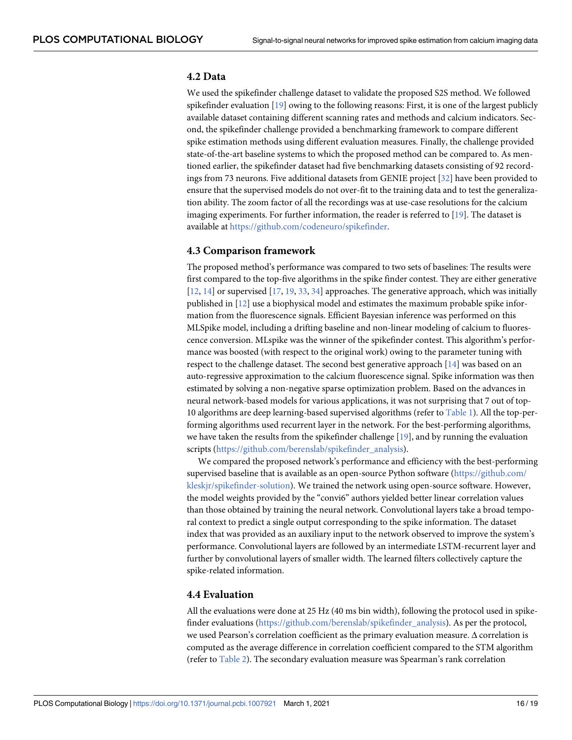#### **4.2 Data**

We used the spikefinder challenge dataset to validate the proposed S2S method. We followed spikefinder evaluation [\[19\]](#page-17-0) owing to the following reasons: First, it is one of the largest publicly available dataset containing different scanning rates and methods and calcium indicators. Second, the spikefinder challenge provided a benchmarking framework to compare different spike estimation methods using different evaluation measures. Finally, the challenge provided state-of-the-art baseline systems to which the proposed method can be compared to. As mentioned earlier, the spikefinder dataset had five benchmarking datasets consisting of 92 recordings from 73 neurons. Five additional datasets from GENIE project [\[32\]](#page-18-0) have been provided to ensure that the supervised models do not over-fit to the training data and to test the generalization ability. The zoom factor of all the recordings was at use-case resolutions for the calcium imaging experiments. For further information, the reader is referred to [[19](#page-17-0)]. The dataset is available at [https://github.com/codeneuro/spikefinder.](https://github.com/codeneuro/spikefinder)

#### **4.3 Comparison framework**

The proposed method's performance was compared to two sets of baselines: The results were first compared to the top-five algorithms in the spike finder contest. They are either generative  $[12, 14]$  $[12, 14]$  $[12, 14]$  or supervised  $[17, 19, 33, 34]$  $[17, 19, 33, 34]$  $[17, 19, 33, 34]$  $[17, 19, 33, 34]$  $[17, 19, 33, 34]$  $[17, 19, 33, 34]$  $[17, 19, 33, 34]$  approaches. The generative approach, which was initially published in  $[12]$  use a biophysical model and estimates the maximum probable spike information from the fluorescence signals. Efficient Bayesian inference was performed on this MLSpike model, including a drifting baseline and non-linear modeling of calcium to fluorescence conversion. MLspike was the winner of the spikefinder contest. This algorithm's performance was boosted (with respect to the original work) owing to the parameter tuning with respect to the challenge dataset. The second best generative approach  $[14]$  was based on an auto-regressive approximation to the calcium fluorescence signal. Spike information was then estimated by solving a non-negative sparse optimization problem. Based on the advances in neural network-based models for various applications, it was not surprising that 7 out of top-10 algorithms are deep learning-based supervised algorithms (refer to [Table 1](#page-4-0)). All the top-performing algorithms used recurrent layer in the network. For the best-performing algorithms, we have taken the results from the spikefinder challenge  $[19]$  $[19]$  $[19]$ , and by running the evaluation scripts ([https://github.com/berenslab/spikefinder\\_analysis\)](https://github.com/berenslab/spikefinder_analysis).

We compared the proposed network's performance and efficiency with the best-performing supervised baseline that is available as an open-source Python software [\(https://github.com/](https://github.com/kleskjr/spikefinder-solution) [kleskjr/spikefinder-solution\)](https://github.com/kleskjr/spikefinder-solution). We trained the network using open-source software. However, the model weights provided by the "convi6" authors yielded better linear correlation values than those obtained by training the neural network. Convolutional layers take a broad temporal context to predict a single output corresponding to the spike information. The dataset index that was provided as an auxiliary input to the network observed to improve the system's performance. Convolutional layers are followed by an intermediate LSTM-recurrent layer and further by convolutional layers of smaller width. The learned filters collectively capture the spike-related information.

#### **4.4 Evaluation**

All the evaluations were done at 25 Hz (40 ms bin width), following the protocol used in spike-finder evaluations [\(https://github.com/berenslab/spikefinder\\_analysis](https://github.com/berenslab/spikefinder_analysis)). As per the protocol, we used Pearson's correlation coefficient as the primary evaluation measure. Δ correlation is computed as the average difference in correlation coefficient compared to the STM algorithm (refer to [Table 2\)](#page-4-0). The secondary evaluation measure was Spearman's rank correlation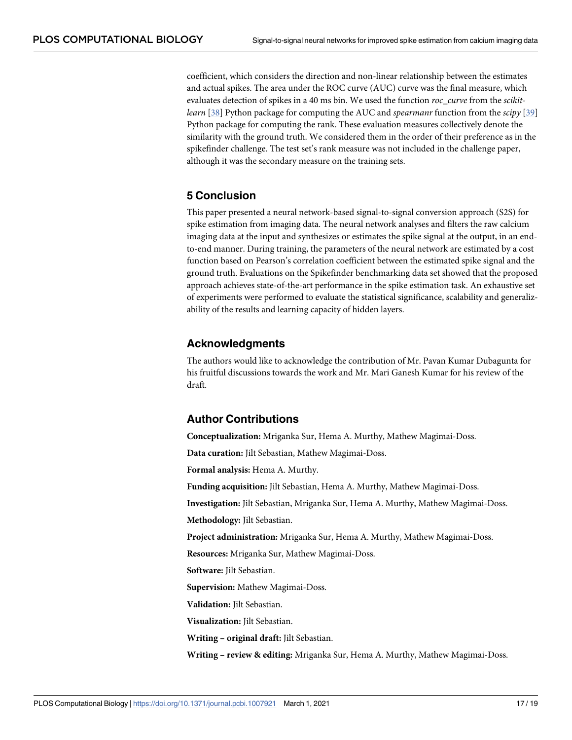<span id="page-16-0"></span>coefficient, which considers the direction and non-linear relationship between the estimates and actual spikes. The area under the ROC curve (AUC) curve was the final measure, which evaluates detection of spikes in a 40 ms bin. We used the function roc\_curve from the scikit-learn [[38](#page-18-0)] Python package for computing the AUC and *spearmanr* function from the *scipy* [\[39\]](#page-18-0) Python package for computing the rank. These evaluation measures collectively denote the similarity with the ground truth. We considered them in the order of their preference as in the spikefinder challenge. The test set's rank measure was not included in the challenge paper, although it was the secondary measure on the training sets.

#### **5 Conclusion**

This paper presented a neural network-based signal-to-signal conversion approach (S2S) for spike estimation from imaging data. The neural network analyses and filters the raw calcium imaging data at the input and synthesizes or estimates the spike signal at the output, in an endto-end manner. During training, the parameters of the neural network are estimated by a cost function based on Pearson's correlation coefficient between the estimated spike signal and the ground truth. Evaluations on the Spikefinder benchmarking data set showed that the proposed approach achieves state-of-the-art performance in the spike estimation task. An exhaustive set of experiments were performed to evaluate the statistical significance, scalability and generalizability of the results and learning capacity of hidden layers.

#### **Acknowledgments**

The authors would like to acknowledge the contribution of Mr. Pavan Kumar Dubagunta for his fruitful discussions towards the work and Mr. Mari Ganesh Kumar for his review of the draft.

#### **Author Contributions**

**Conceptualization:** Mriganka Sur, Hema A. Murthy, Mathew Magimai-Doss.

**Data curation:** Jilt Sebastian, Mathew Magimai-Doss.

**Formal analysis:** Hema A. Murthy.

**Funding acquisition:** Jilt Sebastian, Hema A. Murthy, Mathew Magimai-Doss.

**Investigation:** Jilt Sebastian, Mriganka Sur, Hema A. Murthy, Mathew Magimai-Doss.

**Methodology:** Jilt Sebastian.

**Project administration:** Mriganka Sur, Hema A. Murthy, Mathew Magimai-Doss.

**Resources:** Mriganka Sur, Mathew Magimai-Doss.

**Software:** Jilt Sebastian.

**Supervision:** Mathew Magimai-Doss.

**Validation:** Jilt Sebastian.

**Visualization:** Jilt Sebastian.

**Writing – original draft:** Jilt Sebastian.

**Writing – review & editing:** Mriganka Sur, Hema A. Murthy, Mathew Magimai-Doss.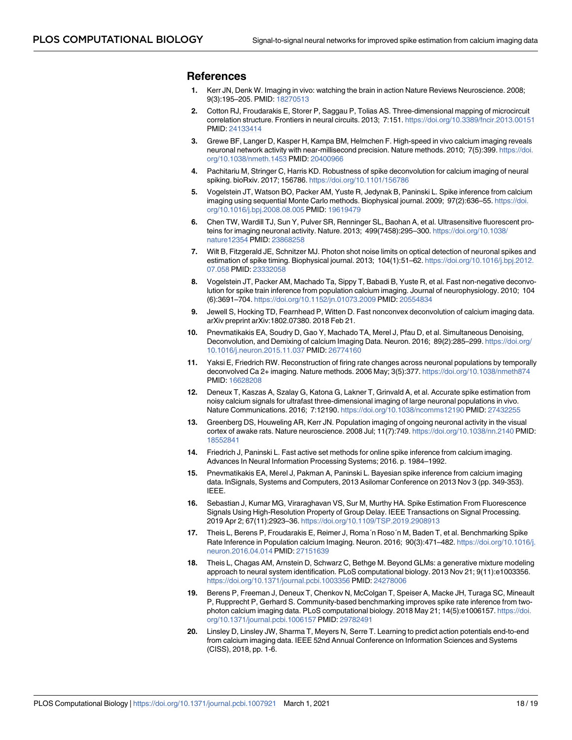#### <span id="page-17-0"></span>**References**

- **[1](#page-1-0).** Kerr JN, Denk W. Imaging in vivo: watching the brain in action Nature Reviews Neuroscience. 2008; 9(3):195–205. PMID: [18270513](http://www.ncbi.nlm.nih.gov/pubmed/18270513)
- **2.** Cotton RJ, Froudarakis E, Storer P, Saggau P, Tolias AS. Three-dimensional mapping of microcircuit correlation structure. Frontiers in neural circuits. 2013; 7:151. <https://doi.org/10.3389/fncir.2013.00151> PMID: [24133414](http://www.ncbi.nlm.nih.gov/pubmed/24133414)
- **[3](#page-1-0).** Grewe BF, Langer D, Kasper H, Kampa BM, Helmchen F. High-speed in vivo calcium imaging reveals neuronal network activity with near-millisecond precision. Nature methods. 2010; 7(5):399. [https://doi.](https://doi.org/10.1038/nmeth.1453) [org/10.1038/nmeth.1453](https://doi.org/10.1038/nmeth.1453) PMID: [20400966](http://www.ncbi.nlm.nih.gov/pubmed/20400966)
- **[4](#page-1-0).** Pachitariu M, Stringer C, Harris KD. Robustness of spike deconvolution for calcium imaging of neural spiking. bioRxiv. 2017; 156786. <https://doi.org/10.1101/156786>
- **[5](#page-1-0).** Vogelstein JT, Watson BO, Packer AM, Yuste R, Jedynak B, Paninski L. Spike inference from calcium imaging using sequential Monte Carlo methods. Biophysical journal. 2009; 97(2):636-55. [https://doi.](https://doi.org/10.1016/j.bpj.2008.08.005) [org/10.1016/j.bpj.2008.08.005](https://doi.org/10.1016/j.bpj.2008.08.005) PMID: [19619479](http://www.ncbi.nlm.nih.gov/pubmed/19619479)
- **6.** Chen TW, Wardill TJ, Sun Y, Pulver SR, Renninger SL, Baohan A, et al. Ultrasensitive fluorescent proteins for imaging neuronal activity. Nature. 2013; 499(7458):295–300. [https://doi.org/10.1038/](https://doi.org/10.1038/nature12354) [nature12354](https://doi.org/10.1038/nature12354) PMID: [23868258](http://www.ncbi.nlm.nih.gov/pubmed/23868258)
- **[7](#page-1-0).** Wilt B, Fitzgerald JE, Schnitzer MJ. Photon shot noise limits on optical detection of neuronal spikes and estimation of spike timing. Biophysical journal. 2013; 104(1):51–62. [https://doi.org/10.1016/j.bpj.2012.](https://doi.org/10.1016/j.bpj.2012.07.058) [07.058](https://doi.org/10.1016/j.bpj.2012.07.058) PMID: [23332058](http://www.ncbi.nlm.nih.gov/pubmed/23332058)
- **[8](#page-1-0).** Vogelstein JT, Packer AM, Machado Ta, Sippy T, Babadi B, Yuste R, et al. Fast non-negative deconvolution for spike train inference from population calcium imaging. Journal of neurophysiology. 2010; 104 (6):3691–704. <https://doi.org/10.1152/jn.01073.2009> PMID: [20554834](http://www.ncbi.nlm.nih.gov/pubmed/20554834)
- **9.** Jewell S, Hocking TD, Fearnhead P, Witten D. Fast nonconvex deconvolution of calcium imaging data. arXiv preprint arXiv:1802.07380. 2018 Feb 21.
- **10.** Pnevmatikakis EA, Soudry D, Gao Y, Machado TA, Merel J, Pfau D, et al. Simultaneous Denoising, Deconvolution, and Demixing of calcium Imaging Data. Neuron. 2016; 89(2):285–299. [https://doi.org/](https://doi.org/10.1016/j.neuron.2015.11.037) [10.1016/j.neuron.2015.11.037](https://doi.org/10.1016/j.neuron.2015.11.037) PMID: [26774160](http://www.ncbi.nlm.nih.gov/pubmed/26774160)
- **[11](#page-1-0).** Yaksi E, Friedrich RW. Reconstruction of firing rate changes across neuronal populations by temporally deconvolved Ca 2+ imaging. Nature methods. 2006 May; 3(5):377. <https://doi.org/10.1038/nmeth874> PMID: [16628208](http://www.ncbi.nlm.nih.gov/pubmed/16628208)
- **[12](#page-1-0).** Deneux T, Kaszas A, Szalay G, Katona G, Lakner T, Grinvald A, et al. Accurate spike estimation from noisy calcium signals for ultrafast three-dimensional imaging of large neuronal populations in vivo. Nature Communications. 2016; 7:12190. <https://doi.org/10.1038/ncomms12190> PMID: [27432255](http://www.ncbi.nlm.nih.gov/pubmed/27432255)
- **[13](#page-1-0).** Greenberg DS, Houweling AR, Kerr JN. Population imaging of ongoing neuronal activity in the visual cortex of awake rats. Nature neuroscience. 2008 Jul; 11(7):749. <https://doi.org/10.1038/nn.2140> PMID: [18552841](http://www.ncbi.nlm.nih.gov/pubmed/18552841)
- **[14](#page-1-0).** Friedrich J, Paninski L. Fast active set methods for online spike inference from calcium imaging. Advances In Neural Information Processing Systems; 2016. p. 1984–1992.
- **[15](#page-1-0).** Pnevmatikakis EA, Merel J, Pakman A, Paninski L. Bayesian spike inference from calcium imaging data. InSignals, Systems and Computers, 2013 Asilomar Conference on 2013 Nov 3 (pp. 349-353). IEEE.
- **[16](#page-1-0).** Sebastian J, Kumar MG, Viraraghavan VS, Sur M, Murthy HA. Spike Estimation From Fluorescence Signals Using High-Resolution Property of Group Delay. IEEE Transactions on Signal Processing. 2019 Apr 2; 67(11):2923–36. <https://doi.org/10.1109/TSP.2019.2908913>
- **[17](#page-1-0).** Theis L, Berens P, Froudarakis E, Reimer J, Roma´n Roso´n M, Baden T, et al. Benchmarking Spike Rate Inference in Population calcium Imaging. Neuron. 2016; 90(3):471–482. [https://doi.org/10.1016/j.](https://doi.org/10.1016/j.neuron.2016.04.014) [neuron.2016.04.014](https://doi.org/10.1016/j.neuron.2016.04.014) PMID: [27151639](http://www.ncbi.nlm.nih.gov/pubmed/27151639)
- **[18](#page-1-0).** Theis L, Chagas AM, Arnstein D, Schwarz C, Bethge M. Beyond GLMs: a generative mixture modeling approach to neural system identification. PLoS computational biology. 2013 Nov 21; 9(11):e1003356. <https://doi.org/10.1371/journal.pcbi.1003356> PMID: [24278006](http://www.ncbi.nlm.nih.gov/pubmed/24278006)
- **[19](#page-1-0).** Berens P, Freeman J, Deneux T, Chenkov N, McColgan T, Speiser A, Macke JH, Turaga SC, Mineault P, Rupprecht P, Gerhard S. Community-based benchmarking improves spike rate inference from twophoton calcium imaging data. PLoS computational biology. 2018 May 21; 14(5):e1006157. [https://doi.](https://doi.org/10.1371/journal.pcbi.1006157) [org/10.1371/journal.pcbi.1006157](https://doi.org/10.1371/journal.pcbi.1006157) PMID: [29782491](http://www.ncbi.nlm.nih.gov/pubmed/29782491)
- **[20](#page-1-0).** Linsley D, Linsley JW, Sharma T, Meyers N, Serre T. Learning to predict action potentials end-to-end from calcium imaging data. IEEE 52nd Annual Conference on Information Sciences and Systems (CISS), 2018, pp. 1-6.